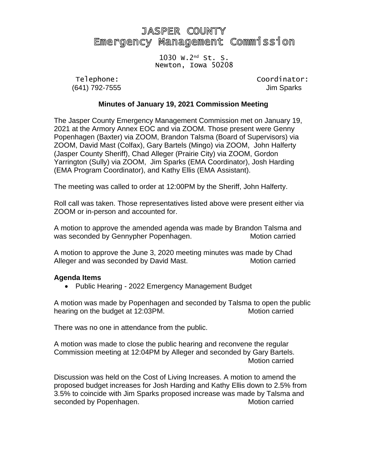# **JASPER COUNTY** Emergency Management Commission

#### 1030 W.2 nd St. S. Newton, Iowa 50208

(641) 792-7555 Jim Sparks

Telephone: Coordinator:

#### **Minutes of January 19, 2021 Commission Meeting**

The Jasper County Emergency Management Commission met on January 19, 2021 at the Armory Annex EOC and via ZOOM. Those present were Genny Popenhagen (Baxter) via ZOOM, Brandon Talsma (Board of Supervisors) via ZOOM, David Mast (Colfax), Gary Bartels (Mingo) via ZOOM, John Halferty (Jasper County Sheriff), Chad Alleger (Prairie City) via ZOOM, Gordon Yarrington (Sully) via ZOOM, Jim Sparks (EMA Coordinator), Josh Harding (EMA Program Coordinator), and Kathy Ellis (EMA Assistant).

The meeting was called to order at 12:00PM by the Sheriff, John Halferty.

Roll call was taken. Those representatives listed above were present either via ZOOM or in-person and accounted for.

A motion to approve the amended agenda was made by Brandon Talsma and was seconded by Gennypher Popenhagen. Motion carried

A motion to approve the June 3, 2020 meeting minutes was made by Chad Alleger and was seconded by David Mast. Motion carried

#### **Agenda Items**

• Public Hearing - 2022 Emergency Management Budget

A motion was made by Popenhagen and seconded by Talsma to open the public hearing on the budget at 12:03PM.

There was no one in attendance from the public.

A motion was made to close the public hearing and reconvene the regular Commission meeting at 12:04PM by Alleger and seconded by Gary Bartels. Motion carried

Discussion was held on the Cost of Living Increases. A motion to amend the proposed budget increases for Josh Harding and Kathy Ellis down to 2.5% from 3.5% to coincide with Jim Sparks proposed increase was made by Talsma and seconded by Popenhagen. The matrix of the Motion carried